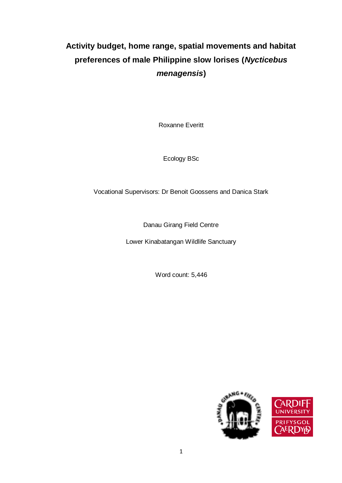# **Activity budget, home range, spatial movements and habitat preferences of male Philippine slow lorises (***Nycticebus menagensis***)**

Roxanne Everitt

Ecology BSc

Vocational Supervisors: Dr Benoit Goossens and Danica Stark

Danau Girang Field Centre

Lower Kinabatangan Wildlife Sanctuary

Word count: 5,446



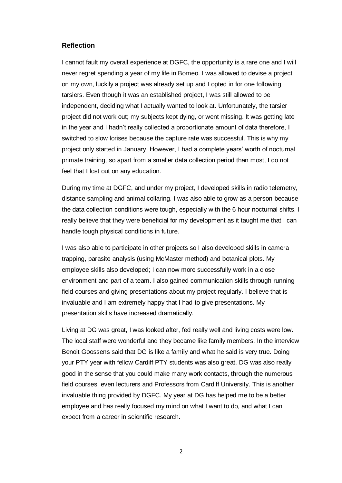#### **Reflection**

I cannot fault my overall experience at DGFC, the opportunity is a rare one and I will never regret spending a year of my life in Borneo. I was allowed to devise a project on my own, luckily a project was already set up and I opted in for one following tarsiers. Even though it was an established project, I was still allowed to be independent, deciding what I actually wanted to look at. Unfortunately, the tarsier project did not work out; my subjects kept dying, or went missing. It was getting late in the year and I hadn't really collected a proportionate amount of data therefore, I switched to slow lorises because the capture rate was successful. This is why my project only started in January. However, I had a complete years' worth of nocturnal primate training, so apart from a smaller data collection period than most, I do not feel that I lost out on any education.

During my time at DGFC, and under my project, I developed skills in radio telemetry, distance sampling and animal collaring. I was also able to grow as a person because the data collection conditions were tough, especially with the 6 hour nocturnal shifts. I really believe that they were beneficial for my development as it taught me that I can handle tough physical conditions in future.

I was also able to participate in other projects so I also developed skills in camera trapping, parasite analysis (using McMaster method) and botanical plots. My employee skills also developed; I can now more successfully work in a close environment and part of a team. I also gained communication skills through running field courses and giving presentations about my project regularly. I believe that is invaluable and I am extremely happy that I had to give presentations. My presentation skills have increased dramatically.

Living at DG was great, I was looked after, fed really well and living costs were low. The local staff were wonderful and they became like family members. In the interview Benoit Goossens said that DG is like a family and what he said is very true. Doing your PTY year with fellow Cardiff PTY students was also great. DG was also really good in the sense that you could make many work contacts, through the numerous field courses, even lecturers and Professors from Cardiff University. This is another invaluable thing provided by DGFC. My year at DG has helped me to be a better employee and has really focused my mind on what I want to do, and what I can expect from a career in scientific research.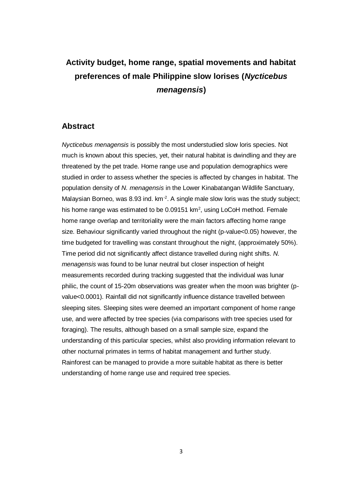# **Activity budget, home range, spatial movements and habitat preferences of male Philippine slow lorises (***Nycticebus menagensis***)**

## **Abstract**

*Nycticebus menagensis* is possibly the most understudied slow loris species. Not much is known about this species, yet, their natural habitat is dwindling and they are threatened by the pet trade. Home range use and population demographics were studied in order to assess whether the species is affected by changes in habitat. The population density of *N. menagensis* in the Lower Kinabatangan Wildlife Sanctuary, Malaysian Borneo, was 8.93 ind.  $km<sup>-2</sup>$ . A single male slow loris was the study subject; his home range was estimated to be 0.09151  $km^2$ , using LoCoH method. Female home range overlap and territoriality were the main factors affecting home range size. Behaviour significantly varied throughout the night (p-value < 0.05) however, the time budgeted for travelling was constant throughout the night, (approximately 50%). Time period did not significantly affect distance travelled during night shifts. *N. menagensis* was found to be lunar neutral but closer inspection of height measurements recorded during tracking suggested that the individual was lunar philic, the count of 15-20m observations was greater when the moon was brighter (pvalue<0.0001). Rainfall did not significantly influence distance travelled between sleeping sites. Sleeping sites were deemed an important component of home range use, and were affected by tree species (via comparisons with tree species used for foraging). The results, although based on a small sample size, expand the understanding of this particular species, whilst also providing information relevant to other nocturnal primates in terms of habitat management and further study. Rainforest can be managed to provide a more suitable habitat as there is better understanding of home range use and required tree species.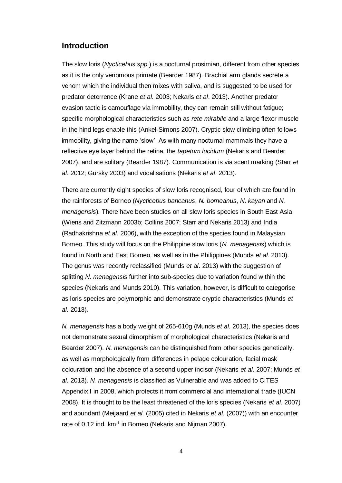# **Introduction**

The slow loris (*Nycticebus spp*.) is a nocturnal prosimian, different from other species as it is the only venomous primate (Bearder 1987). Brachial arm glands secrete a venom which the individual then mixes with saliva, and is suggested to be used for predator deterrence (Krane *et al*. 2003; Nekaris *et al*. 2013). Another predator evasion tactic is camouflage via immobility, they can remain still without fatigue; specific morphological characteristics such as *rete mirabile* and a large flexor muscle in the hind legs enable this (Ankel-Simons 2007). Cryptic slow climbing often follows immobility, giving the name 'slow'. As with many nocturnal mammals they have a reflective eye layer behind the retina, the *tapetum lucidum* (Nekaris and Bearder 2007), and are solitary (Bearder 1987). Communication is via scent marking (Starr *et al*. 2012; Gursky 2003) and vocalisations (Nekaris *et al*. 2013).

There are currently eight species of slow loris recognised, four of which are found in the rainforests of Borneo (*Nycticebus bancanus*, *N. borneanus*, *N. kayan* and *N. menagensis*). There have been studies on all slow loris species in South East Asia (Wiens and Zitzmann 2003b; Collins 2007; Starr and Nekaris 2013) and India (Radhakrishna *et al*. 2006), with the exception of the species found in Malaysian Borneo. This study will focus on the Philippine slow loris (*N. menagensis*) which is found in North and East Borneo, as well as in the Philippines (Munds *et al*. 2013). The genus was recently reclassified (Munds *et al*. 2013) with the suggestion of splitting *N. menagensis* further into sub-species due to variation found within the species (Nekaris and Munds 2010). This variation, however, is difficult to categorise as loris species are polymorphic and demonstrate cryptic characteristics (Munds *et al*. 2013).

*N. menagensis* has a body weight of 265-610g (Munds *et al*. 2013), the species does not demonstrate sexual dimorphism of morphological characteristics (Nekaris and Bearder 2007). *N. menagensis* can be distinguished from other species genetically, as well as morphologically from differences in pelage colouration, facial mask colouration and the absence of a second upper incisor (Nekaris *et al*. 2007; Munds *et al*. 2013). *N. menagensis* is classified as Vulnerable and was added to CITES Appendix I in 2008, which protects it from commercial and international trade (IUCN 2008). It is thought to be the least threatened of the loris species (Nekaris *et al*. 2007) and abundant (Meijaard *et al*. (2005) cited in Nekaris *et al*. (2007)) with an encounter rate of 0.12 ind. km<sup>-1</sup> in Borneo (Nekaris and Nijman 2007).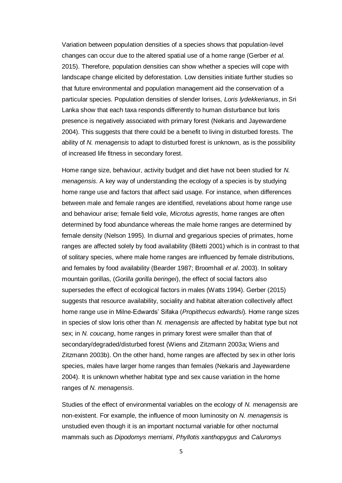Variation between population densities of a species shows that population-level changes can occur due to the altered spatial use of a home range (Gerber *et al*. 2015). Therefore, population densities can show whether a species will cope with landscape change elicited by deforestation. Low densities initiate further studies so that future environmental and population management aid the conservation of a particular species. Population densities of slender lorises, *Loris lydekkerianus*, in Sri Lanka show that each taxa responds differently to human disturbance but loris presence is negatively associated with primary forest (Nekaris and Jayewardene 2004). This suggests that there could be a benefit to living in disturbed forests. The ability of *N. menagensis* to adapt to disturbed forest is unknown, as is the possibility of increased life fitness in secondary forest.

Home range size, behaviour, activity budget and diet have not been studied for *N. menagensis*. A key way of understanding the ecology of a species is by studying home range use and factors that affect said usage. For instance, when differences between male and female ranges are identified, revelations about home range use and behaviour arise; female field vole, *Microtus agrestis*, home ranges are often determined by food abundance whereas the male home ranges are determined by female density (Nelson 1995). In diurnal and gregarious species of primates, home ranges are affected solely by food availability (Bitetti 2001) which is in contrast to that of solitary species, where male home ranges are influenced by female distributions, and females by food availability (Bearder 1987; Broomhall *et al*. 2003). In solitary mountain gorillas, (*Gorilla gorilla beringei*), the effect of social factors also supersedes the effect of ecological factors in males (Watts 1994). Gerber (2015) suggests that resource availability, sociality and habitat alteration collectively affect home range use in Milne-Edwards' Sifaka (*Propithecus edwardsi*). Home range sizes in species of slow loris other than *N. menagensis* are affected by habitat type but not sex; in *N. coucang*, home ranges in primary forest were smaller than that of secondary/degraded/disturbed forest (Wiens and Zitzmann 2003a; Wiens and Zitzmann 2003b). On the other hand, home ranges are affected by sex in other loris species, males have larger home ranges than females (Nekaris and Jayewardene 2004). It is unknown whether habitat type and sex cause variation in the home ranges of *N. menagensis*.

Studies of the effect of environmental variables on the ecology of *N. menagensis* are non-existent. For example, the influence of moon luminosity on *N. menagensis* is unstudied even though it is an important nocturnal variable for other nocturnal mammals such as *Dipodomys merriami*, *Phyllotis xanthopygus* and *Caluromys*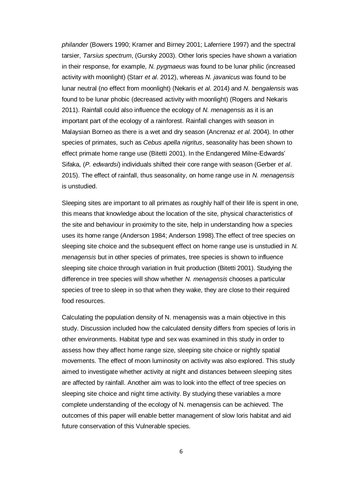*philander* (Bowers 1990; Kramer and Birney 2001; Laferriere 1997) and the spectral tarsier, *Tarsius spectrum*, (Gursky 2003). Other loris species have shown a variation in their response, for example, *N. pygmaeus* was found to be lunar philic (increased activity with moonlight) (Starr *et al*. 2012), whereas *N. javanicus* was found to be lunar neutral (no effect from moonlight) (Nekaris *et al*. 2014) and *N. bengalensis* was found to be lunar phobic (decreased activity with moonlight) (Rogers and Nekaris 2011). Rainfall could also influence the ecology of *N. menagensis* as it is an important part of the ecology of a rainforest. Rainfall changes with season in Malaysian Borneo as there is a wet and dry season (Ancrenaz *et al*. 2004). In other species of primates, such as *Cebus apella nigritus*, seasonality has been shown to effect primate home range use (Bitetti 2001). In the Endangered Milne-Edwards' Sifaka, (*P. edwardsi*) individuals shifted their core range with season (Gerber *et al*. 2015). The effect of rainfall, thus seasonality, on home range use in *N. menagensis* is unstudied.

Sleeping sites are important to all primates as roughly half of their life is spent in one, this means that knowledge about the location of the site, physical characteristics of the site and behaviour in proximity to the site, help in understanding how a species uses its home range (Anderson 1984; Anderson 1998).The effect of tree species on sleeping site choice and the subsequent effect on home range use is unstudied in *N. menagensis* but in other species of primates, tree species is shown to influence sleeping site choice through variation in fruit production (Bitetti 2001). Studying the difference in tree species will show whether *N. menagensis* chooses a particular species of tree to sleep in so that when they wake, they are close to their required food resources.

Calculating the population density of N. menagensis was a main objective in this study. Discussion included how the calculated density differs from species of loris in other environments. Habitat type and sex was examined in this study in order to assess how they affect home range size, sleeping site choice or nightly spatial movements. The effect of moon luminosity on activity was also explored. This study aimed to investigate whether activity at night and distances between sleeping sites are affected by rainfall. Another aim was to look into the effect of tree species on sleeping site choice and night time activity. By studying these variables a more complete understanding of the ecology of N. menagensis can be achieved. The outcomes of this paper will enable better management of slow loris habitat and aid future conservation of this Vulnerable species.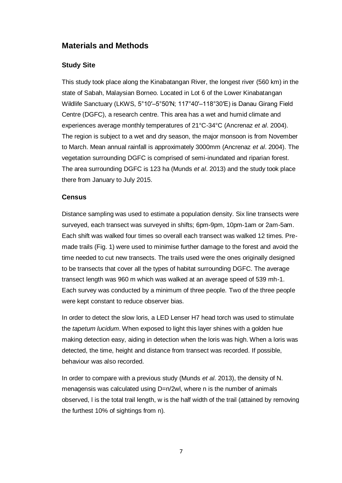# **Materials and Methods**

## **Study Site**

This study took place along the Kinabatangan River, the longest river (560 km) in the state of Sabah, Malaysian Borneo. Located in Lot 6 of the Lower Kinabatangan Wildlife Sanctuary (LKWS, 5°10′–5°50′N; 117°40′–118°30′E) is Danau Girang Field Centre (DGFC), a research centre. This area has a wet and humid climate and experiences average monthly temperatures of 21°C-34°C (Ancrenaz *et al*. 2004). The region is subject to a wet and dry season, the major monsoon is from November to March. Mean annual rainfall is approximately 3000mm (Ancrenaz *et al*. 2004). The vegetation surrounding DGFC is comprised of semi-inundated and riparian forest. The area surrounding DGFC is 123 ha (Munds *et al*. 2013) and the study took place there from January to July 2015.

### **Census**

Distance sampling was used to estimate a population density. Six line transects were surveyed, each transect was surveyed in shifts; 6pm-9pm, 10pm-1am or 2am-5am. Each shift was walked four times so overall each transect was walked 12 times. Premade trails (Fig. 1) were used to minimise further damage to the forest and avoid the time needed to cut new transects. The trails used were the ones originally designed to be transects that cover all the types of habitat surrounding DGFC. The average transect length was 960 m which was walked at an average speed of 539 mh-1. Each survey was conducted by a minimum of three people. Two of the three people were kept constant to reduce observer bias.

In order to detect the slow loris, a LED Lenser H7 head torch was used to stimulate the *tapetum lucidum*. When exposed to light this layer shines with a golden hue making detection easy, aiding in detection when the loris was high. When a loris was detected, the time, height and distance from transect was recorded. If possible, behaviour was also recorded.

In order to compare with a previous study (Munds *et al*. 2013), the density of N. menagensis was calculated using D=n/2wl, where n is the number of animals observed, l is the total trail length, w is the half width of the trail (attained by removing the furthest 10% of sightings from n).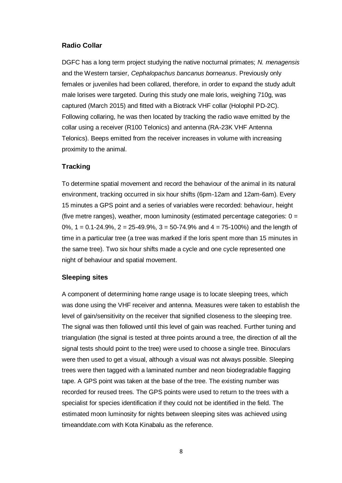### **Radio Collar**

DGFC has a long term project studying the native nocturnal primates; *N. menagensis* and the Western tarsier, *Cephalopachus bancanus borneanus*. Previously only females or juveniles had been collared, therefore, in order to expand the study adult male lorises were targeted. During this study one male loris, weighing 710g, was captured (March 2015) and fitted with a Biotrack VHF collar (Holophil PD-2C). Following collaring, he was then located by tracking the radio wave emitted by the collar using a receiver (R100 Telonics) and antenna (RA-23K VHF Antenna Telonics). Beeps emitted from the receiver increases in volume with increasing proximity to the animal.

### **Tracking**

To determine spatial movement and record the behaviour of the animal in its natural environment, tracking occurred in six hour shifts (6pm-12am and 12am-6am). Every 15 minutes a GPS point and a series of variables were recorded: behaviour, height (five metre ranges), weather, moon luminosity (estimated percentage categories:  $0 =$ 0%, 1 = 0.1-24.9%, 2 = 25-49.9%, 3 = 50-74.9% and 4 = 75-100%) and the length of time in a particular tree (a tree was marked if the loris spent more than 15 minutes in the same tree). Two six hour shifts made a cycle and one cycle represented one night of behaviour and spatial movement.

### **Sleeping sites**

A component of determining home range usage is to locate sleeping trees, which was done using the VHF receiver and antenna. Measures were taken to establish the level of gain/sensitivity on the receiver that signified closeness to the sleeping tree. The signal was then followed until this level of gain was reached. Further tuning and triangulation (the signal is tested at three points around a tree, the direction of all the signal tests should point to the tree) were used to choose a single tree. Binoculars were then used to get a visual, although a visual was not always possible. Sleeping trees were then tagged with a laminated number and neon biodegradable flagging tape. A GPS point was taken at the base of the tree. The existing number was recorded for reused trees. The GPS points were used to return to the trees with a specialist for species identification if they could not be identified in the field. The estimated moon luminosity for nights between sleeping sites was achieved using timeanddate.com with Kota Kinabalu as the reference.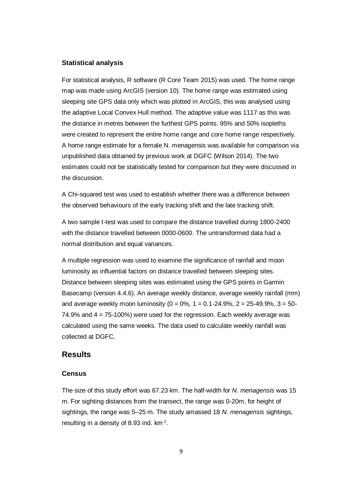### **Statistical analysis**

For statistical analysis, R software (R Core Team 2015) was used. The home range map was made using ArcGIS (version 10). The home range was estimated using sleeping site GPS data only which was plotted in ArcGIS, this was analysed using the adaptive Local Convex Hull method. The adaptive value was 1117 as this was the distance in metres between the furthest GPS points. 95% and 50% isopleths were created to represent the entire home range and core home range respectively. A home range estimate for a female N. menagensis was available for comparison via unpublished data obtained by previous work at DGFC (Wilson 2014). The two estimates could not be statistically tested for comparison but they were discussed in the discussion.

A Chi-squared test was used to establish whether there was a difference between the observed behaviours of the early tracking shift and the late tracking shift.

A two sample t-test was used to compare the distance travelled during 1800-2400 with the distance travelled between 0000-0600. The untransformed data had a normal distribution and equal variances.

A multiple regression was used to examine the significance of rainfall and moon luminosity as influential factors on distance travelled between sleeping sites. Distance between sleeping sites was estimated using the GPS points in Garmin Basecamp (version 4.4.6). An average weekly distance, average weekly rainfall (mm) and average weekly moon luminosity ( $0 = 0\%$ ,  $1 = 0.1 - 24.9\%$ ,  $2 = 25 - 49.9\%$ ,  $3 = 50 - 12.5\%$ 74.9% and 4 = 75-100%) were used for the regression. Each weekly average was calculated using the same weeks. The data used to calculate weekly rainfall was collected at DGFC.

# **Results**

### **Census**

The size of this study effort was 67.23 km. The half-width for *N. menagensis* was 15 m. For sighting distances from the transect, the range was 0-20m, for height of sightings, the range was 5–25 m. The study amassed 18 *N. menagensis* sightings, resulting in a density of 8.93 ind.  $km<sup>-2</sup>$ .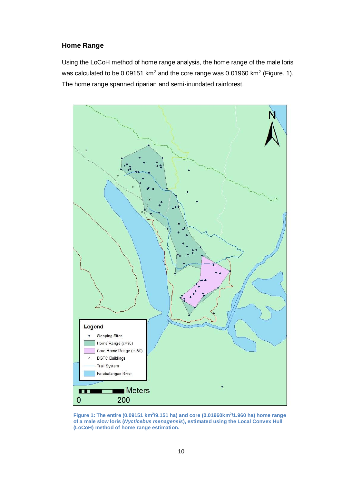## **Home Range**

Using the LoCoH method of home range analysis, the home range of the male loris was calculated to be 0.09151 km<sup>2</sup> and the core range was 0.01960 km<sup>2</sup> (Figure. 1). The home range spanned riparian and semi-inundated rainforest.



**Figure 1: The entire (0.09151 km<sup>2</sup> /9.151 ha) and core (0.01960km<sup>2</sup> /1.960 ha) home range of a male slow loris (***Nycticebus menagensis***), estimated using the Local Convex Hull (LoCoH) method of home range estimation.**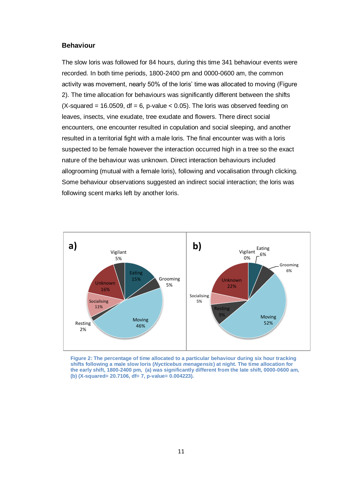#### **Behaviour**

The slow loris was followed for 84 hours, during this time 341 behaviour events were recorded. In both time periods, 1800-2400 pm and 0000-0600 am, the common activity was movement, nearly 50% of the loris' time was allocated to moving (Figure 2). The time allocation for behaviours was significantly different between the shifts  $(X$ -squared = 16.0509, df = 6, p-value < 0.05). The loris was observed feeding on leaves, insects, vine exudate, tree exudate and flowers. There direct social encounters, one encounter resulted in copulation and social sleeping, and another resulted in a territorial fight with a male loris. The final encounter was with a loris suspected to be female however the interaction occurred high in a tree so the exact nature of the behaviour was unknown. Direct interaction behaviours included allogrooming (mutual with a female loris), following and vocalisation through clicking. Some behaviour observations suggested an indirect social interaction; the loris was following scent marks left by another loris.



**Figure 2: The percentage of time allocated to a particular behaviour during six hour tracking shifts following a male slow loris (***Nycticebus menagensis***) at night. The time allocation for the early shift, 1800-2400 pm, (a) was significantly different from the late shift, 0000-0600 am, (b) (X-squared= 20.7106, df= 7, p-value= 0.004223).**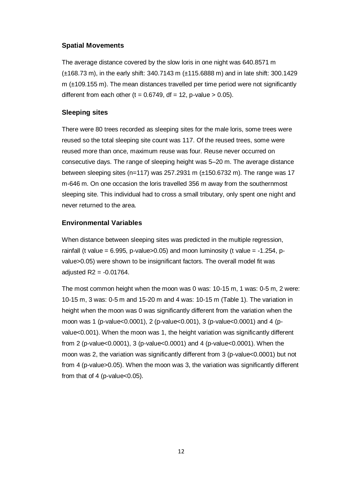## **Spatial Movements**

The average distance covered by the slow loris in one night was 640.8571 m (±168.73 m), in the early shift: 340.7143 m (±115.6888 m) and in late shift: 300.1429 m (±109.155 m). The mean distances travelled per time period were not significantly different from each other (t =  $0.6749$ , df = 12, p-value > 0.05).

## **Sleeping sites**

There were 80 trees recorded as sleeping sites for the male loris, some trees were reused so the total sleeping site count was 117. Of the reused trees, some were reused more than once, maximum reuse was four. Reuse never occurred on consecutive days. The range of sleeping height was 5–20 m. The average distance between sleeping sites (n=117) was 257.2931 m  $(\pm 150.6732 \text{ m})$ . The range was 17 m-646 m. On one occasion the loris travelled 356 m away from the southernmost sleeping site. This individual had to cross a small tributary, only spent one night and never returned to the area.

## **Environmental Variables**

When distance between sleeping sites was predicted in the multiple regression, rainfall (t value =  $6.995$ , p-value $>0.05$ ) and moon luminosity (t value =  $-1.254$ , pvalue>0.05) were shown to be insignificant factors. The overall model fit was adjusted  $R2 = -0.01764$ .

The most common height when the moon was 0 was: 10-15 m, 1 was: 0-5 m, 2 were: 10-15 m, 3 was: 0-5 m and 15-20 m and 4 was: 10-15 m (Table 1). The variation in height when the moon was 0 was significantly different from the variation when the moon was 1 (p-value<0.0001), 2 (p-value<0.001), 3 (p-value<0.0001) and 4 (pvalue<0.001). When the moon was 1, the height variation was significantly different from 2 (p-value<0.0001), 3 (p-value<0.0001) and 4 (p-value<0.0001). When the moon was 2, the variation was significantly different from 3 (p-value<0.0001) but not from 4 (p-value>0.05). When the moon was 3, the variation was significantly different from that of 4 (p-value $<$ 0.05).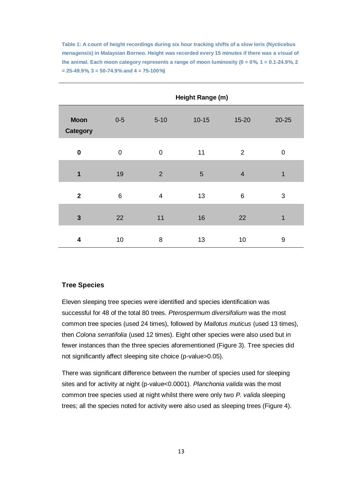**Table 1: A count of height recordings during six hour tracking shifts of a slow loris (Nycticebus menagensis) in Malaysian Borneo. Height was recorded every 15 minutes if there was a visual of**  the animal. Each moon category represents a range of moon luminosity  $(0 = 0\% 1 = 0.1 - 24.9\% 2)$ **= 25-49.9%, 3 = 50-74.9% and 4 = 75-100%)**

|                                | Height Range (m) |                |           |                |                  |
|--------------------------------|------------------|----------------|-----------|----------------|------------------|
| <b>Moon</b><br><b>Category</b> | $0 - 5$          | $5 - 10$       | $10 - 15$ | 15-20          | $20 - 25$        |
| $\bf{0}$                       | $\boldsymbol{0}$ | $\mathbf 0$    | 11        | $\overline{2}$ | $\boldsymbol{0}$ |
| $\mathbf{1}$                   | 19               | 2              | 5         | $\overline{4}$ | 1                |
| $\mathbf{2}$                   | 6                | $\overline{4}$ | 13        | 6              | 3                |
| $\mathbf{3}$                   | 22               | 11             | 16        | 22             | $\mathbf{1}$     |
| 4                              | 10               | 8              | 13        | 10             | 9                |

#### **Tree Species**

Eleven sleeping tree species were identified and species identification was successful for 48 of the total 80 trees. *Pterospermum diversifolium* was the most common tree species (used 24 times), followed by *Mallotus muticus* (used 13 times), then *Colona serratifolia* (used 12 times). Eight other species were also used but in fewer instances than the three species aforementioned (Figure 3). Tree species did not significantly affect sleeping site choice (p-value>0.05).

There was significant difference between the number of species used for sleeping sites and for activity at night (p-value<0.0001). *Planchonia valida* was the most common tree species used at night whilst there were only two *P. valida* sleeping trees; all the species noted for activity were also used as sleeping trees (Figure 4).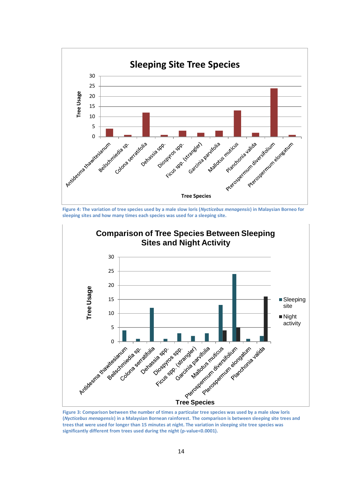

**Figure 4: The variation of tree species used by a male slow loris (***Nycticebus menagensis***) in Malaysian Borneo for sleeping sites and how many times each species was used for a sleeping site.**



**Figure 3: Comparison between the number of times a particular tree species was used by a male slow loris (***Nycticebus menagensis***) in a Malaysian Bornean rainforest. The comparison is between sleeping site trees and trees that were used for longer than 15 minutes at night. The variation in sleeping site tree species was significantly different from trees used during the night (p-value<0.0001).**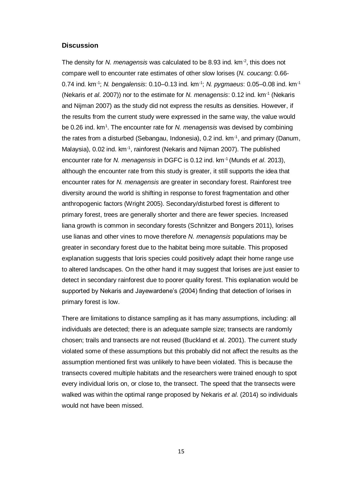#### **Discussion**

The density for *N. menagensis* was calculated to be 8.93 ind. km-2 , this does not compare well to encounter rate estimates of other slow lorises (*N. coucang*: 0.66- 0.74 ind. km-1 ; *N. bengalensis*: 0.10–0.13 ind. km-1 ; *N. pygmaeus*: 0.05–0.08 ind. km-1 (Nekaris *et al*. 2007)) nor to the estimate for *N. menagensis*: 0.12 ind. km-1 (Nekaris and Nijman 2007) as the study did not express the results as densities. However, if the results from the current study were expressed in the same way, the value would be 0.26 ind. km<sup>1</sup>. The encounter rate for *N. menagensis* was devised by combining the rates from a disturbed (Sebangau, Indonesia), 0.2 ind. km-1 , and primary (Danum, Malaysia), 0.02 ind. km<sup>-1</sup>, rainforest (Nekaris and Nijman 2007). The published encounter rate for *N. menagensis* in DGFC is 0.12 ind. km-1 (Munds *et al*. 2013), although the encounter rate from this study is greater, it still supports the idea that encounter rates for *N. menagensis* are greater in secondary forest. Rainforest tree diversity around the world is shifting in response to forest fragmentation and other anthropogenic factors (Wright 2005). Secondary/disturbed forest is different to primary forest, trees are generally shorter and there are fewer species. Increased liana growth is common in secondary forests (Schnitzer and Bongers 2011), lorises use lianas and other vines to move therefore *N. menagensis* populations may be greater in secondary forest due to the habitat being more suitable. This proposed explanation suggests that loris species could positively adapt their home range use to altered landscapes. On the other hand it may suggest that lorises are just easier to detect in secondary rainforest due to poorer quality forest. This explanation would be supported by Nekaris and Jayewardene's (2004) finding that detection of lorises in primary forest is low.

There are limitations to distance sampling as it has many assumptions, including: all individuals are detected; there is an adequate sample size; transects are randomly chosen; trails and transects are not reused (Buckland et al. 2001). The current study violated some of these assumptions but this probably did not affect the results as the assumption mentioned first was unlikely to have been violated. This is because the transects covered multiple habitats and the researchers were trained enough to spot every individual loris on, or close to, the transect. The speed that the transects were walked was within the optimal range proposed by Nekaris *et al*. (2014) so individuals would not have been missed.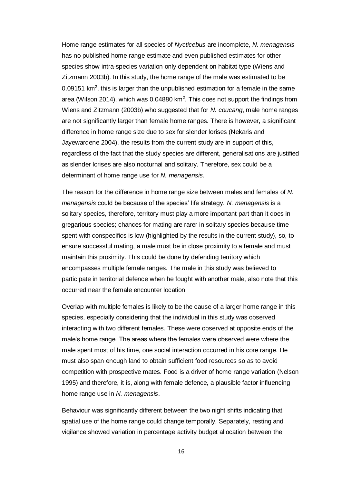Home range estimates for all species of *Nycticebus* are incomplete, *N. menagensis* has no published home range estimate and even published estimates for other species show intra-species variation only dependent on habitat type (Wiens and Zitzmann 2003b). In this study, the home range of the male was estimated to be 0.09151 km<sup>2</sup>, this is larger than the unpublished estimation for a female in the same area (Wilson 2014), which was 0.04880 km<sup>2</sup>. This does not support the findings from Wiens and Zitzmann (2003b) who suggested that for *N. coucang*, male home ranges are not significantly larger than female home ranges. There is however, a significant difference in home range size due to sex for slender lorises (Nekaris and Jayewardene 2004), the results from the current study are in support of this, regardless of the fact that the study species are different, generalisations are justified as slender lorises are also nocturnal and solitary. Therefore, sex could be a determinant of home range use for *N. menagensis*.

The reason for the difference in home range size between males and females of *N. menagensis* could be because of the species' life strategy. *N. menagensis* is a solitary species, therefore, territory must play a more important part than it does in gregarious species; chances for mating are rarer in solitary species because time spent with conspecifics is low (highlighted by the results in the current study), so, to ensure successful mating, a male must be in close proximity to a female and must maintain this proximity. This could be done by defending territory which encompasses multiple female ranges. The male in this study was believed to participate in territorial defence when he fought with another male, also note that this occurred near the female encounter location.

Overlap with multiple females is likely to be the cause of a larger home range in this species, especially considering that the individual in this study was observed interacting with two different females. These were observed at opposite ends of the male's home range. The areas where the females were observed were where the male spent most of his time, one social interaction occurred in his core range. He must also span enough land to obtain sufficient food resources so as to avoid competition with prospective mates. Food is a driver of home range variation (Nelson 1995) and therefore, it is, along with female defence, a plausible factor influencing home range use in *N. menagensis*.

Behaviour was significantly different between the two night shifts indicating that spatial use of the home range could change temporally. Separately, resting and vigilance showed variation in percentage activity budget allocation between the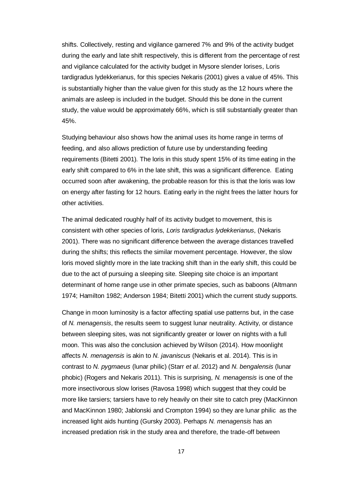shifts. Collectively, resting and vigilance garnered 7% and 9% of the activity budget during the early and late shift respectively, this is different from the percentage of rest and vigilance calculated for the activity budget in Mysore slender lorises, Loris tardigradus lydekkerianus, for this species Nekaris (2001) gives a value of 45%. This is substantially higher than the value given for this study as the 12 hours where the animals are asleep is included in the budget. Should this be done in the current study, the value would be approximately 66%, which is still substantially greater than 45%.

Studying behaviour also shows how the animal uses its home range in terms of feeding, and also allows prediction of future use by understanding feeding requirements (Bitetti 2001). The loris in this study spent 15% of its time eating in the early shift compared to 6% in the late shift, this was a significant difference. Eating occurred soon after awakening, the probable reason for this is that the loris was low on energy after fasting for 12 hours. Eating early in the night frees the latter hours for other activities.

The animal dedicated roughly half of its activity budget to movement, this is consistent with other species of loris, *Loris tardigradus lydekkerianus*, (Nekaris 2001). There was no significant difference between the average distances travelled during the shifts; this reflects the similar movement percentage. However, the slow loris moved slightly more in the late tracking shift than in the early shift, this could be due to the act of pursuing a sleeping site. Sleeping site choice is an important determinant of home range use in other primate species, such as baboons (Altmann 1974; Hamilton 1982; Anderson 1984; Bitetti 2001) which the current study supports.

Change in moon luminosity is a factor affecting spatial use patterns but, in the case of *N. menagensis*, the results seem to suggest lunar neutrality. Activity, or distance between sleeping sites, was not significantly greater or lower on nights with a full moon. This was also the conclusion achieved by Wilson (2014). How moonlight affects *N. menagensis* is akin to *N. javaniscus* (Nekaris et al. 2014). This is in contrast to *N. pygmaeus* (lunar philic) (Starr *et al*. 2012) and *N. bengalensis* (lunar phobic) (Rogers and Nekaris 2011). This is surprising, *N. menagensis* is one of the more insectivorous slow lorises (Ravosa 1998) which suggest that they could be more like tarsiers; tarsiers have to rely heavily on their site to catch prey (MacKinnon and MacKinnon 1980; Jablonski and Crompton 1994) so they are lunar philic as the increased light aids hunting (Gursky 2003). Perhaps *N. menagensis* has an increased predation risk in the study area and therefore, the trade-off between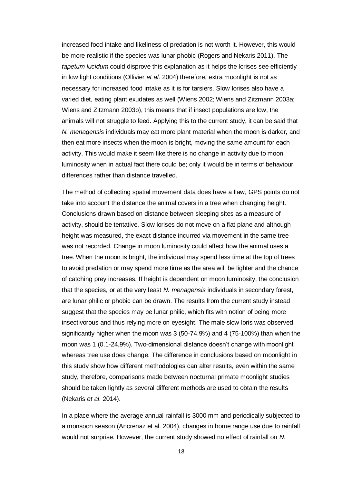increased food intake and likeliness of predation is not worth it. However, this would be more realistic if the species was lunar phobic (Rogers and Nekaris 2011). The *tapetum lucidum* could disprove this explanation as it helps the lorises see efficiently in low light conditions (Ollivier *et al*. 2004) therefore, extra moonlight is not as necessary for increased food intake as it is for tarsiers. Slow lorises also have a varied diet, eating plant exudates as well (Wiens 2002; Wiens and Zitzmann 2003a; Wiens and Zitzmann 2003b), this means that if insect populations are low, the animals will not struggle to feed. Applying this to the current study, it can be said that *N. menagensis* individuals may eat more plant material when the moon is darker, and then eat more insects when the moon is bright, moving the same amount for each activity. This would make it seem like there is no change in activity due to moon luminosity when in actual fact there could be; only it would be in terms of behaviour differences rather than distance travelled.

The method of collecting spatial movement data does have a flaw, GPS points do not take into account the distance the animal covers in a tree when changing height. Conclusions drawn based on distance between sleeping sites as a measure of activity, should be tentative. Slow lorises do not move on a flat plane and although height was measured, the exact distance incurred via movement in the same tree was not recorded. Change in moon luminosity could affect how the animal uses a tree. When the moon is bright, the individual may spend less time at the top of trees to avoid predation or may spend more time as the area will be lighter and the chance of catching prey increases. If height is dependent on moon luminosity, the conclusion that the species, or at the very least *N. menagensis* individuals in secondary forest, are lunar philic or phobic can be drawn. The results from the current study instead suggest that the species may be lunar philic, which fits with notion of being more insectivorous and thus relying more on eyesight. The male slow loris was observed significantly higher when the moon was 3 (50-74.9%) and 4 (75-100%) than when the moon was 1 (0.1-24.9%). Two-dimensional distance doesn't change with moonlight whereas tree use does change. The difference in conclusions based on moonlight in this study show how different methodologies can alter results, even within the same study, therefore, comparisons made between nocturnal primate moonlight studies should be taken lightly as several different methods are used to obtain the results (Nekaris *et al*. 2014).

In a place where the average annual rainfall is 3000 mm and periodically subjected to a monsoon season (Ancrenaz et al. 2004), changes in home range use due to rainfall would not surprise. However, the current study showed no effect of rainfall on *N.*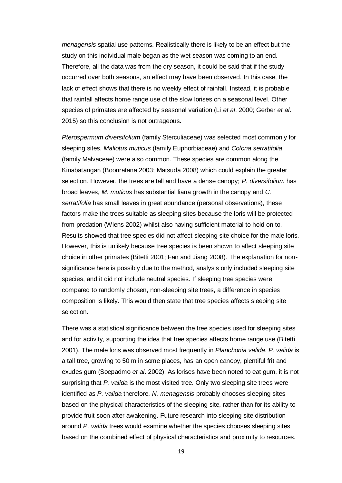*menagensis* spatial use patterns. Realistically there is likely to be an effect but the study on this individual male began as the wet season was coming to an end. Therefore, all the data was from the dry season, it could be said that if the study occurred over both seasons, an effect may have been observed. In this case, the lack of effect shows that there is no weekly effect of rainfall. Instead, it is probable that rainfall affects home range use of the slow lorises on a seasonal level. Other species of primates are affected by seasonal variation (Li *et al*. 2000; Gerber *et al*. 2015) so this conclusion is not outrageous.

*Pterospermum diversifolium* (family Sterculiaceae) was selected most commonly for sleeping sites. *Mallotus muticus* (family Euphorbiaceae) and *Colona serratifolia* (family Malvaceae) were also common. These species are common along the Kinabatangan (Boonratana 2003; Matsuda 2008) which could explain the greater selection. However, the trees are tall and have a dense canopy; *P. diversifolium* has broad leaves, *M. muticus* has substantial liana growth in the canopy and *C. serratifolia* has small leaves in great abundance (personal observations), these factors make the trees suitable as sleeping sites because the loris will be protected from predation (Wiens 2002) whilst also having sufficient material to hold on to. Results showed that tree species did not affect sleeping site choice for the male loris. However, this is unlikely because tree species is been shown to affect sleeping site choice in other primates (Bitetti 2001; Fan and Jiang 2008). The explanation for nonsignificance here is possibly due to the method, analysis only included sleeping site species, and it did not include neutral species. If sleeping tree species were compared to randomly chosen, non-sleeping site trees, a difference in species composition is likely. This would then state that tree species affects sleeping site selection.

There was a statistical significance between the tree species used for sleeping sites and for activity, supporting the idea that tree species affects home range use (Bitetti 2001). The male loris was observed most frequently in *Planchonia valida*. *P. valida* is a tall tree, growing to 50 m in some places, has an open canopy, plentiful frit and exudes gum (Soepadmo *et al*. 2002). As lorises have been noted to eat gum, it is not surprising that *P. valida* is the most visited tree. Only two sleeping site trees were identified as *P. valida* therefore, *N. menagensis* probably chooses sleeping sites based on the physical characteristics of the sleeping site, rather than for its ability to provide fruit soon after awakening. Future research into sleeping site distribution around *P. valida* trees would examine whether the species chooses sleeping sites based on the combined effect of physical characteristics and proximity to resources.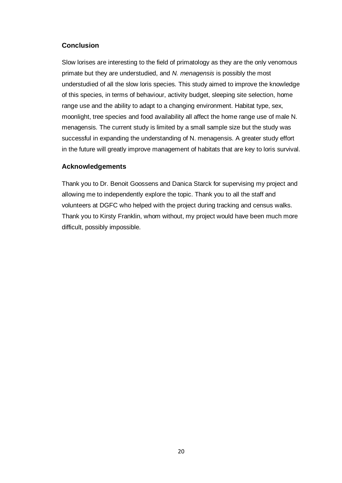## **Conclusion**

Slow lorises are interesting to the field of primatology as they are the only venomous primate but they are understudied, and *N. menagensis* is possibly the most understudied of all the slow loris species. This study aimed to improve the knowledge of this species, in terms of behaviour, activity budget, sleeping site selection, home range use and the ability to adapt to a changing environment. Habitat type, sex, moonlight, tree species and food availability all affect the home range use of male N. menagensis. The current study is limited by a small sample size but the study was successful in expanding the understanding of N. menagensis. A greater study effort in the future will greatly improve management of habitats that are key to loris survival.

# **Acknowledgements**

Thank you to Dr. Benoit Goossens and Danica Starck for supervising my project and allowing me to independently explore the topic. Thank you to all the staff and volunteers at DGFC who helped with the project during tracking and census walks. Thank you to Kirsty Franklin, whom without, my project would have been much more difficult, possibly impossible.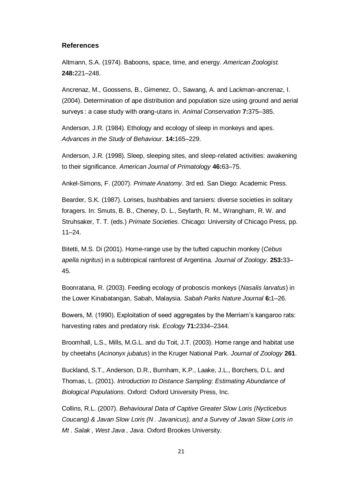#### **References**

Altmann, S.A. (1974). Baboons, space, time, and energy. *American Zoologist.* **248:**221–248.

Ancrenaz, M., Goossens, B., Gimenez, O., Sawang, A. and Lackman-ancrenaz, I. (2004). Determination of ape distribution and population size using ground and aerial surveys : a case study with orang-utans in. *Animal Conservation* **7:**375–385.

Anderson, J.R. (1984). Ethology and ecology of sleep in monkeys and apes. *Advances in the Study of Behaviour*. **14:**165–229.

Anderson, J.R. (1998). Sleep, sleeping sites, and sleep-related activities: awakening to their significance. *American Journal of Primatology* **46:**63–75.

Ankel-Simons, F. (2007). *Primate Anatomy*. 3rd ed. San Diego: Academic Press.

Bearder, S.K. (1987). Lorises, bushbabies and tarsiers: diverse societies in solitary foragers. In: Smuts, B. B., Cheney, D. L., Seyfarth, R. M., Wrangham, R. W. and Struhsaker, T. T. (eds.) *Primate Societies*. Chicago: University of Chicago Press, pp. 11–24.

Bitetti, M.S. Di (2001). Home-range use by the tufted capuchin monkey (*Cebus apella nigritus*) in a subtropical rainforest of Argentina. *Journal of Zoology*. **253:**33– 45.

Boonratana, R. (2003). Feeding ecology of proboscis monkeys (*Nasalis larvatus*) in the Lower Kinabatangan, Sabah, Malaysia. *Sabah Parks Nature Journal* **6:**1–26.

Bowers, M. (1990). Exploitation of seed aggregates by the Merriam's kangaroo rats: harvesting rates and predatory risk. *Ecology* **71:**2334–2344.

Broomhall, L.S., Mills, M.G.L. and du Toit, J.T. (2003). Home range and habitat use by cheetahs (*Acinonyx jubatus*) in the Kruger National Park. *Journal of Zoology* **261**.

Buckland, S.T., Anderson, D.R., Burnham, K.P., Laake, J.L., Borchers, D.L. and Thomas, L. (2001). *Introduction to Distance Sampling: Estimating Abundance of Biological Populations*. Oxford: Oxford University Press, Inc.

Collins, R.L. (2007). *Behavioural Data of Captive Greater Slow Loris (Nycticebus Coucang) & Javan Slow Loris (N . Javanicus), and a Survey of Javan Slow Loris in Mt . Salak , West Java , Java*. Oxford Brookes University.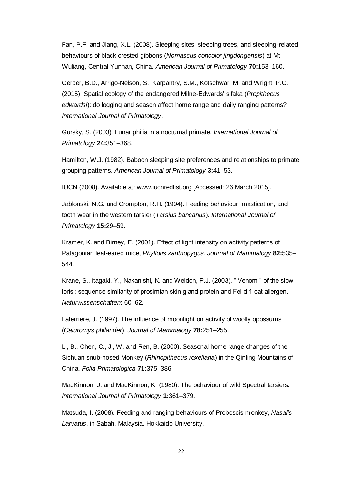Fan, P.F. and Jiang, X.L. (2008). Sleeping sites, sleeping trees, and sleeping-related behaviours of black crested gibbons (*Nomascus concolor jingdongensis*) at Mt. Wuliang, Central Yunnan, China. *American Journal of Primatology* **70:**153–160.

Gerber, B.D., Arrigo-Nelson, S., Karpantry, S.M., Kotschwar, M. and Wright, P.C. (2015). Spatial ecology of the endangered Milne-Edwards' sifaka (*Propithecus edwardsi*): do logging and season affect home range and daily ranging patterns? *International Journal of Primatology*.

Gursky, S. (2003). Lunar philia in a nocturnal primate. *International Journal of Primatology* **24:**351–368.

Hamilton, W.J. (1982). Baboon sleeping site preferences and relationships to primate grouping patterns. *American Journal of Primatology* **3:**41–53.

IUCN (2008). Available at: www.iucnredlist.org [Accessed: 26 March 2015].

Jablonski, N.G. and Crompton, R.H. (1994). Feeding behaviour, mastication, and tooth wear in the western tarsier (*Tarsius bancanus*). *International Journal of Primatology* **15:**29–59.

Kramer, K. and Birney, E. (2001). Effect of light intensity on activity patterns of Patagonian leaf-eared mice, *Phyllotis xanthopygus*. *Journal of Mammalogy* **82:**535– 544.

Krane, S., Itagaki, Y., Nakanishi, K. and Weldon, P.J. (2003). " Venom " of the slow loris : sequence similarity of prosimian skin gland protein and Fel d 1 cat allergen. *Naturwissenschaften*: 60–62.

Laferriere, J. (1997). The influence of moonlight on activity of woolly opossums (*Caluromys philander*). *Journal of Mammalogy* **78:**251–255.

Li, B., Chen, C., Ji, W. and Ren, B. (2000). Seasonal home range changes of the Sichuan snub-nosed Monkey (*Rhinopithecus roxellana*) in the Qinling Mountains of China. *Folia Primatologica* **71:**375–386.

MacKinnon, J. and MacKinnon, K. (1980). The behaviour of wild Spectral tarsiers. *International Journal of Primatology* **1:**361–379.

Matsuda, I. (2008). Feeding and ranging behaviours of Proboscis monkey, *Nasalis Larvatus*, in Sabah, Malaysia. Hokkaido University.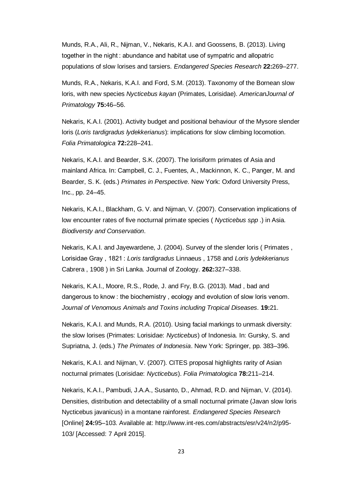Munds, R.A., Ali, R., Nijman, V., Nekaris, K.A.I. and Goossens, B. (2013). Living together in the night : abundance and habitat use of sympatric and allopatric populations of slow lorises and tarsiers. *Endangered Species Research* **22:**269–277.

Munds, R.A., Nekaris, K.A.I. and Ford, S.M. (2013). Taxonomy of the Bornean slow loris, with new species *Nycticebus kayan* (Primates, Lorisidae). *AmericanJournal of Primatology* **75:**46–56.

Nekaris, K.A.I. (2001). Activity budget and positional behaviour of the Mysore slender loris (*Loris tardigradus lydekkerianus*): implications for slow climbing locomotion. *Folia Primatologica* **72:**228–241.

Nekaris, K.A.I. and Bearder, S.K. (2007). The lorisiform primates of Asia and mainland Africa. In: Campbell, C. J., Fuentes, A., Mackinnon, K. C., Panger, M. and Bearder, S. K. (eds.) *Primates in Perspective*. New York: Oxford University Press, Inc., pp. 24–45.

Nekaris, K.A.I., Blackham, G. V. and Nijman, V. (2007). Conservation implications of low encounter rates of five nocturnal primate species ( *Nycticebus spp* .) in Asia. *Biodiversty and Conservation*.

Nekaris, K.A.I. and Jayewardene, J. (2004). Survey of the slender loris ( Primates , Lorisidae Gray , 1821 : *Loris tardigradus* Linnaeus , 1758 and *Loris lydekkerianus* Cabrera , 1908 ) in Sri Lanka. Journal of Zoology. **262:**327–338.

Nekaris, K.A.I., Moore, R.S., Rode, J. and Fry, B.G. (2013). Mad , bad and dangerous to know : the biochemistry , ecology and evolution of slow loris venom. *Journal of Venomous Animals and Toxins including Tropical Diseases.* **19:**21.

Nekaris, K.A.I. and Munds, R.A. (2010). Using facial markings to unmask diversity: the slow lorises (Primates: Lorisidae: *Nycticebus*) of Indonesia. In: Gursky, S. and Supriatna, J. (eds.) *The Primates of Indonesia*. New York: Springer, pp. 383–396.

Nekaris, K.A.I. and Nijman, V. (2007). CITES proposal highlights rarity of Asian nocturnal primates (Lorisidae: *Nycticebus*). *Folia Primatologica* **78:**211–214.

Nekaris, K.A.I., Pambudi, J.A.A., Susanto, D., Ahmad, R.D. and Nijman, V. (2014). Densities, distribution and detectability of a small nocturnal primate (Javan slow loris Nycticebus javanicus) in a montane rainforest. *Endangered Species Research* [Online] **24:**95–103. Available at: http://www.int-res.com/abstracts/esr/v24/n2/p95- 103/ [Accessed: 7 April 2015].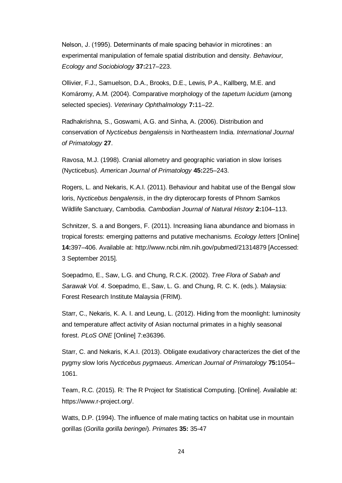Nelson, J. (1995). Determinants of male spacing behavior in microtines : an experimental manipulation of female spatial distribution and density. *Behaviour, Ecology and Sociobiology* **37:**217–223.

Ollivier, F.J., Samuelson, D.A., Brooks, D.E., Lewis, P.A., Kallberg, M.E. and Komáromy, A.M. (2004). Comparative morphology of the *tapetum lucidum* (among selected species). *Veterinary Ophthalmology* **7:**11–22.

Radhakrishna, S., Goswami, A.G. and Sinha, A. (2006). Distribution and conservation of *Nycticebus bengalensis* in Northeastern India. *International Journal of Primatology* **27**.

Ravosa, M.J. (1998). Cranial allometry and geographic variation in slow lorises (Nycticebus). *American Journal of Primatology* **45:**225–243.

Rogers, L. and Nekaris, K.A.I. (2011). Behaviour and habitat use of the Bengal slow loris, *Nycticebus bengalensis*, in the dry dipterocarp forests of Phnom Samkos Wildlife Sanctuary, Cambodia. *Cambodian Journal of Natural History* **2:**104–113.

Schnitzer, S. a and Bongers, F. (2011). Increasing liana abundance and biomass in tropical forests: emerging patterns and putative mechanisms. *Ecology letters* [Online] **14:**397–406. Available at: http://www.ncbi.nlm.nih.gov/pubmed/21314879 [Accessed: 3 September 2015].

Soepadmo, E., Saw, L.G. and Chung, R.C.K. (2002). *Tree Flora of Sabah and Sarawak Vol. 4*. Soepadmo, E., Saw, L. G. and Chung, R. C. K. (eds.). Malaysia: Forest Research Institute Malaysia (FRIM).

Starr, C., Nekaris, K. A. I. and Leung, L. (2012). Hiding from the moonlight: luminosity and temperature affect activity of Asian nocturnal primates in a highly seasonal forest. *PLoS ONE* [Online] 7:e36396.

Starr, C. and Nekaris, K.A.I. (2013). Obligate exudativory characterizes the diet of the pygmy slow loris *Nycticebus pygmaeus*. *American Journal of Primatology* **75:**1054– 1061.

Team, R.C. (2015). R: The R Project for Statistical Computing. [Online]. Available at: https://www.r-project.org/.

Watts, D.P. (1994). The influence of male mating tactics on habitat use in mountain gorillas (*Gorilla gorilla beringei*). *Primate*s **35:** 35-47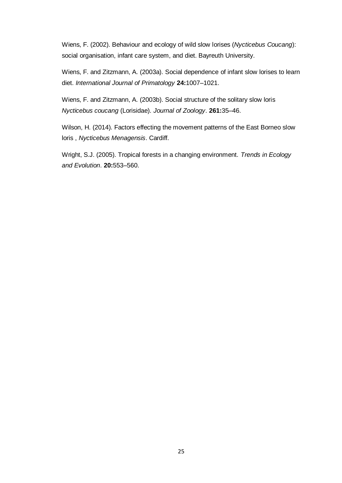Wiens, F. (2002). Behaviour and ecology of wild slow lorises (*Nycticebus Coucang*): social organisation, infant care system, and diet. Bayreuth University.

Wiens, F. and Zitzmann, A. (2003a). Social dependence of infant slow lorises to learn diet. *International Journal of Primatology* **24:**1007–1021.

Wiens, F. and Zitzmann, A. (2003b). Social structure of the solitary slow loris *Nycticebus coucang* (Lorisidae). *Journal of Zoology*. **261:**35–46.

Wilson, H. (2014). Factors effecting the movement patterns of the East Borneo slow loris , *Nycticebus Menagensis*. Cardiff.

Wright, S.J. (2005). Tropical forests in a changing environment. *Trends in Ecology and Evolution*. **20:**553–560.